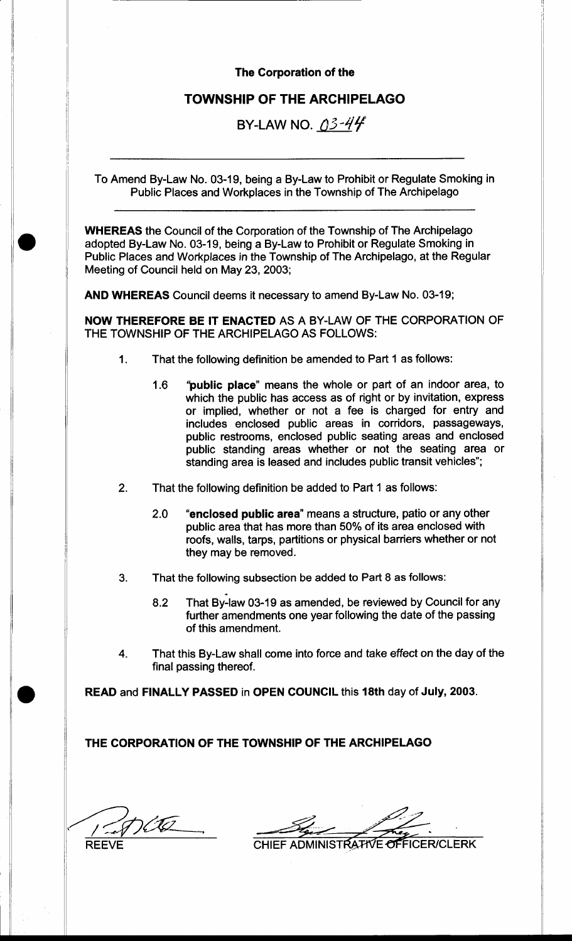#### The Corporation of the

# TOWNSHIP OF THE ARCHIPELAGO

BY-LAW NO.  $03-44$ 

To Amend By-Law No. 03-19, being a By-Law to Prohibit or Regulate Smoking in Public Places and Workplaces in the Township of The Archipelago

WHEREAS the Council of the Corporation of the Township of The Archipelago adopted By-Law No. 03-19, being a By-Law to Prohibit or Regulate Smoking in Public Places and Workplaces in the Township of The Archipelago, at the Regular Meeting of Council held on May 23, 2003;

AND WHEREAS Council deems it necessary to amend By-Law No. 03-19;

NOW THEREFORE BE IT ENACTED AS A BY.LAW OF THE CORPORATION OF THE TOWNSHIP OF THE ARCHIPELAGO AS FOLLOWS:

- 1. That the following definition be amended to Part 1 as follows:
	- 1.6 'public place" means the whole or part of an indoor area, to which the public has access as of right or by invitation, express or implied, whether or not a fee is charged for entry and includes enclosed public areas in corridors, passageways, public restrooms, enclosed public seating areas and enclosed public standing areas whether or not the seating area or standing area is leased and includes public transit vehicles";
- 2. That the following definition be added to Part 1 as follows:
	- 2.0 "enclosed public area" means a structure, patio or any other public area that has more than 50% of its area enclosed with roofs, walls, tarps, partitions or physical barriers whether or not they may be removed.
- 3. That the following subsection be added to Part 8 as follows:
	- 8.2 That By-law 03-19 as amended, be reviewed by Council for any further amendments one year following the date of the passing of this amendment.
- 4. That this By-Law shall come into force and take effect on the day of the final passing thereof.

READ and FINALLY PASSED in OPEN COUNCIL this 18th day of July, 2003.

THE CORPORATION OF THE TOWNSHIP OF THE ARCHIPELAGO

REEVE

CHIEF ADMINISTRATIVE OFFICER/CLERK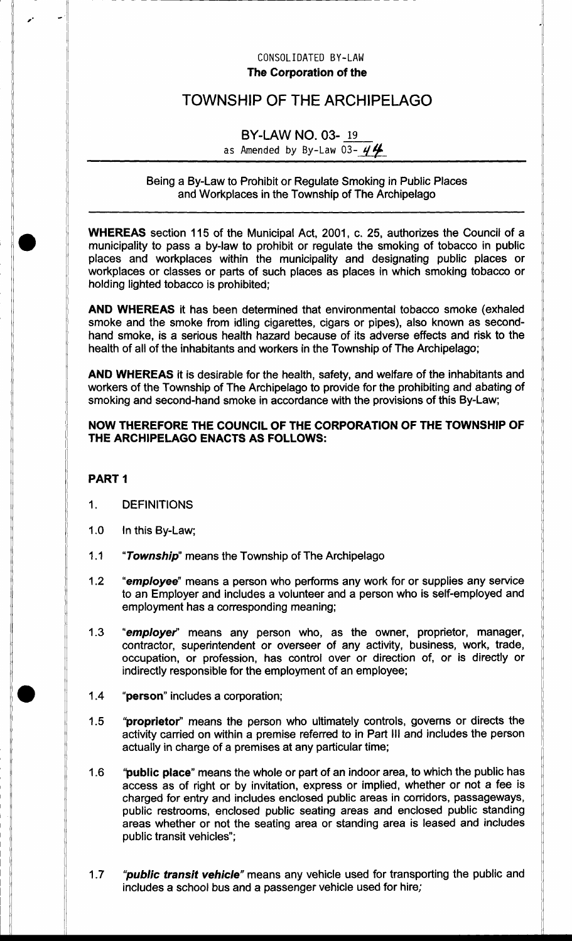### CONSOLIDATED BY-LAW The Corporation of the

# TOWNSHIP OF THE ARCHIPELAGO

# BY.LAW NO. 03. <sup>19</sup>

as Amended by By-Law 03-  $44$ 

Being a By-Law to Prohibit or Regulate Smoking in Public Places and Workplaces in the Township of The Archipelago

WHEREAS section 115 of the Municipal Act, 2001, c. 25, authorizes the Council of a municipality to pass a by-law to prohibit or regulate the smoking of tobacco in public places and workplaces within the municipality and designating public places or workplaces or classes or parts of such places as places in which smoking tobacco or holding lighted tobacco is prohibited;

AND WHEREAS it has been determined that environmental tobacco smoke (exhaled smoke and the smoke from idling cigarettes, cigars or pipes), also known as secondhand smoke, is a serious health hazard because of its adverse effects and risk to the health of all of the inhabitants and workers in the Township of The Archipelago;

AND WHEREAS it is desirable for the health, safety, and welfare of the inhabitants and workers of the Township of The Archipelago to provide for the prohibiting and abating of smoking and second-hand smoke in accordance with the provisions of this By-Law;

## NOW THEREFORE THE COUNCIL OF THE CORPORATION OF THE TOWNSHIP OF THE ARCHIPELAGO ENACTS AS FOLLOWS:

### PART <sup>1</sup>

- 1. DEFINITIONS
- 1.0 ln this By-Law;
- 1.1 "Township" means the Township of The Archipelago
- 1.2 "employee" means a person who performs any work for or supplies any service to an Employer and includes a volunteer and a person who is self-employed and employment has a corresponding meaning;
- 1.3 "employer" means any person who, as the owner, proprietor, manager, contractor, superintendent or overseer of any activity, business, work, trade, occupation, or profession, has control over or direction of, or is directly or indirectly responsible for the employment of an employee;
- 1.4 "person" includes a corporation;
- "proprietor" means the person who ultimately controls, governs or directs the activity carried on within a premise referred to in Part III and includes the person actually in charge of a premises at any particular time; 1.5
- "**public place**" means the whole or part of an indoor area, to which the public has access as of right or by invitation, express or implied, whether or not a fee is charged for entry and includes enclosed public areas in corridors, passageways, public restrooms, enclosed public seating areas and enclosed public standing areas whether or not the seating area or standing area is leased and includes public transit vehicles"; 1.6
- "public transit vehicle" means any vehicle used for transporting the public and includes a school bus and a passenger vehicle used for hire; 1.7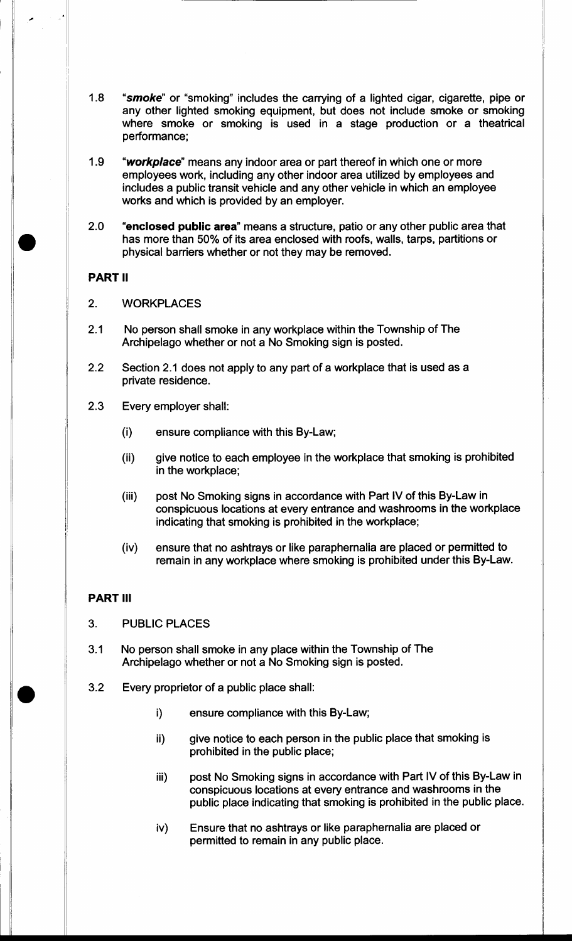- 1.8 "smoke" or "smoking" includes the carrying of a lighted cigar, cigarette, pipe or any other lighted smoking equipment, but does not include smoke or smoking where smoke or smoking is used in a stage production or a theatrical performance;
- 1.9 "workplace" means any indoor area or part thereof in which one or more employees work, including any other indoor area utilized by employees and includes a public transit vehicle and any other vehicle in which an employee works and which is provided by an employer.
- 2.O "enclosed public area" means a structure, patio or any other public area that has more than 50% of its area enclosed with roofs, walls, tarps, partitions or physical barriers whether or not they may be removed.

#### PART II

- 2. WORKPLACES
- 2.1 No person shall smoke in any workplace within the Township of The Archipelago whether or not a No Smoking sign is posted.
- 2.2 Section 2.1 does not apply to any part of a workplace that is used as <sup>a</sup> private residence.
- 2.3 Every employer shall:
	- (i) ensure compliance with this By-Law;
	- (ii) give notice to each employee in the workplace that smoking is prohibited in the workplace;
	- (iii) post No Smoking signs in accordance with Part lV of this By-Law in conspicuous locations at every entrance and washrooms in the workplace indicating that smoking is prohibited in the workplace;
	- (iv) ensure that no ashtrays or like paraphernalia are placed or permitted to remain in any workplace where smoking is prohibited under this By-Law.

#### PART IlI

- 3. PUBLIC PLACES
- 3.1 No person shall smoke in any place within the Township of The Archipelago whether or not a No Smoking sign is posted.
- 3.2 Every proprietor of a public place shall:
	- i) ensure compliance with this By-Law;
	- ii) give notice to each person in the public place that smoking is prohibited in the public place;
	- iii) post No Smoking signs in accordance with Part lV of this By-Law in conspicuous locations at every entrance and washrooms in the public place indicating that smoking is prohibited in the public place.
	- iv) Ensure that no ashtrays or like paraphernalia are placed or permitted to remain in any public place.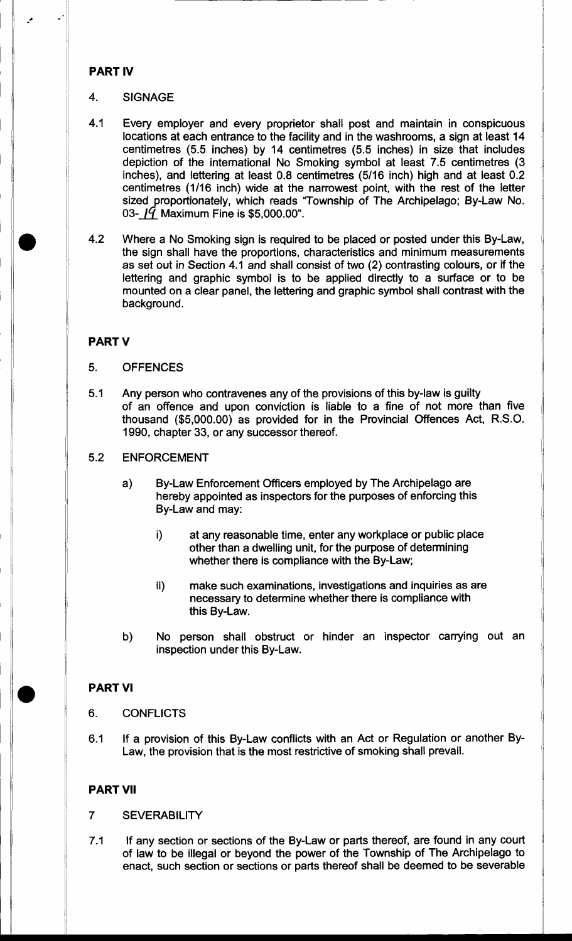#### PART IV

#### 4. SIGNAGE

- 4.1 Every employer and every proprietor shall post and maintain in conspicuous locations at each entrance to the facility and in the washrooms, a sign at least 14 centimetres (5.5 inches) by 14 centimetres (5.5 inches) in size that includes depiction of the intemational No Smoking symbol at least 7.5 centimetres (3 inches), and lettering at least 0.8 centimetres (5/16 inch) high and at least 0.2 centimetres (1/16 inch) wide at the narrowest point, with the rest of the letter sized proportionately, which reads "Township of The Archipelago; By-Law No. 03- $19$  Maximum Fine is \$5,000.00".
- 4.2 Where a No Smoking sign is required to be placed or posted under this By-Law, the sign shall have the proportions, characteristics and minimum measurements as set out in Section 4.1 and shall consist of two (2) contrasting colours, or if the lettering and graphic symbol is to be applied directly to a surface or to be mounted on a clear panel, the lettering and graphic symbol shall contrast with the background.

#### PART V

#### 5. OFFENCES

5.1 Any person who contravenes any of the provisions of this by-law is guilty of an offence and upon conviction is liable to a fine of not more than five thousand (\$5,000.00) as provided for in the Provincial Offences Act, R.S.O. 1990, chapter 33, or any successor thereof.

#### 5.2 ENFORCEMENT

- a) By-Law Enforcement Officers employed by The Archipelago are hereby appointed as inspectors for the purposes of enforcing this By-Law and may:
	- i) at any reasonable time, enter any workplace or public place other than a dwelling unit, for the purpose of determining whether there is compliance with the By-Law;
	- ii) make such examinations, investigations and inquiries as are necessary to determine whether there is compliance with this By-Law.
- b) No person shall obstruct or hinder an inspector carrying out an inspection under this By-Law.

#### PART VI

- 6. CONFLICTS
- 6.1 If a provision of this By-Law conflicts with an Act or Regulation or another By-Law, the provision that is the most restrictive of smoking shall prevail.

#### PART VII

#### 7 SEVERABILIry

7.1 If any section or sections of the By-Law or parts thereof, are found in any court of law to be iltegal or beyond the power of the Township of The Archipelago to enact, such section or sections or parts thereof shall be deemed to be severable